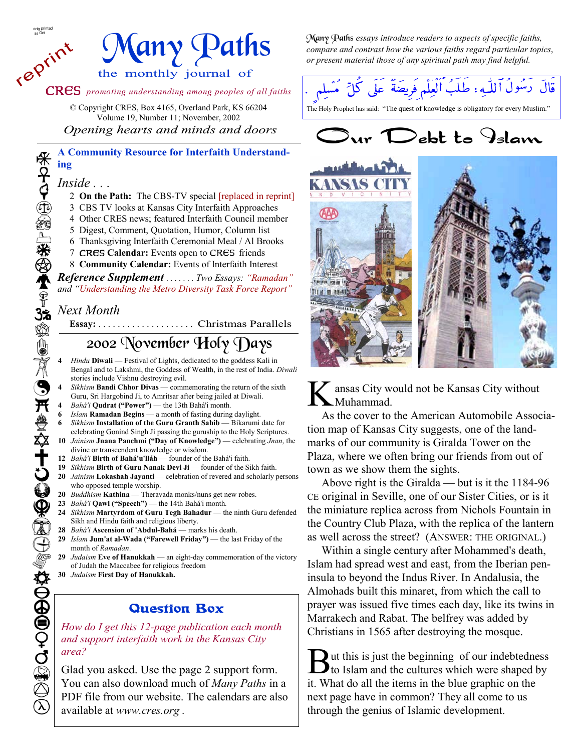reprint



CRES *promoting understanding among peoples of all faiths*

© Copyright CRES, Box 4165, Overland Park, KS 66204

Volume 19, Number 11; November, 2002  *Opening hearts and minds and doors* 

### **A Community Resource for Interfaith Understanding**

- 2 **On the Path:** The CBS-TV special [replaced in reprint]
- 3 CBS TV looks at Kansas City Interfaith Approaches
- 4 Other CRES news; featured Interfaith Council member
- 5 Digest, Comment, Quotation, Humor, Column list
- 6 Thanksgiving Interfaith Ceremonial Meal / Al Brooks
- 7 CRES **Calendar:** Events open to CRES friends
- 8 **Community Calendar:** Events of Interfaith Interest

*Reference Supplement . . . . . . . Two Essays: "Ramadan" and "Understanding the Metro Diversity Task Force Report"*

## *Next Month*

**Essay:** . . . . . . . . . . . . . . . . . . . . Christmas Parallels

## 2002 November Holy Days

- **4** *Hindu* **Diwali** Festival of Lights, dedicated to the goddess Kali in Bengal and to Lakshmi, the Goddess of Wealth, in the rest of India. *Diwali*  stories include Vishnu destroying evil.
- **4** *Sikhism* **Bandi Chhor Divas**  commemorating the return of the sixth Guru, Sri Hargobind Ji, to Amritsar after being jailed at Diwali.
- **4** *Bahá'i* **Qudrat ("Power")**  the 13th Bahá'i month*.*
- **6** *Islam* **Ramadan Begins**  a month of fasting during daylight.
- **6** *Sikhism* **Installation of the Guru Granth Sahib**  Bikarumi date for celebrating Gonind Singh Ji passing the guruship to the Holy Scriptures.
- **10** *Jainism* **Jnana Panchmi ("Day of Knowledge")**  celebrating *Jnan*, the divine or transcendent knowledge or wisdom.
- **12** *Bahá'i* **Birth of Bahá'u'lláh**  founder of the Bahá'i faith.
- **19** *Sikhism* **Birth of Guru Nanak Devi Ji**  founder of the Sikh faith. 20 *Jainism* Lokashah Jayanti — celebration of revered and scholarly persons who opposed temple worship.
- **20** *Buddhism* **Kathina**  Theravada monks/nuns get new robes.
- **23** *Bahá'i* **Qawl ("Speech")**  the 14th Bahá'i month*.*
- 24 *Sikhism* Martyrdom of Guru Tegh Bahadur the ninth Guru defended Sikh and Hindu faith and religious liberty.
- **28** *Bahá'i* **Ascension of 'Abdul-Bahá**  marks his death.
- **29** *Islam* **Jum'at al-Wada ("Farewell Friday")**  the last Friday of the month of *Ramadan*.
- **29** *Judaism* **Eve of Hanukkah**  an eight-day commemoration of the victory of Judah the Maccabee for religious freedom
- **30** *Judaism* **First Day of Hanukkah.**

## Question Box

*How do I get this 12-page publication each month and support interfaith work in the Kansas City area?* 

Glad you asked. Use the page 2 support form. You can also download much of *Many Paths* in a PDF file from our website. The calendars are also available at *www.cres.org .* 

Many Paths *essays introduce readers to aspects of specific faiths, compare and contrast how the various faiths regard particular topics*, *or present material those of any spiritual path may find helpful.*



The Holy Prophet has said: "The quest of knowledge is obligatory for every Muslim."





K ansas City would not be Kansas City without Muhammad.

 As the cover to the American Automobile Association map of Kansas City suggests, one of the landmarks of our community is Giralda Tower on the Plaza, where we often bring our friends from out of town as we show them the sights.

 Above right is the Giralda — but is it the 1184-96 CE original in Seville, one of our Sister Cities, or is it the miniature replica across from Nichols Fountain in the Country Club Plaza, with the replica of the lantern as well across the street? (ANSWER: THE ORIGINAL.)

 Within a single century after Mohammed's death, Islam had spread west and east, from the Iberian peninsula to beyond the Indus River. In Andalusia, the Almohads built this minaret, from which the call to prayer was issued five times each day, like its twins in Marrakech and Rabat. The belfrey was added by Christians in 1565 after destroying the mosque.

 $\sum_{\text{to I} \text{else}}$  is just the beginning of our indebtedness to Islam and the cultures which were shaped by it. What do all the items in the blue graphic on the next page have in common? They all come to us through the genius of Islamic development.